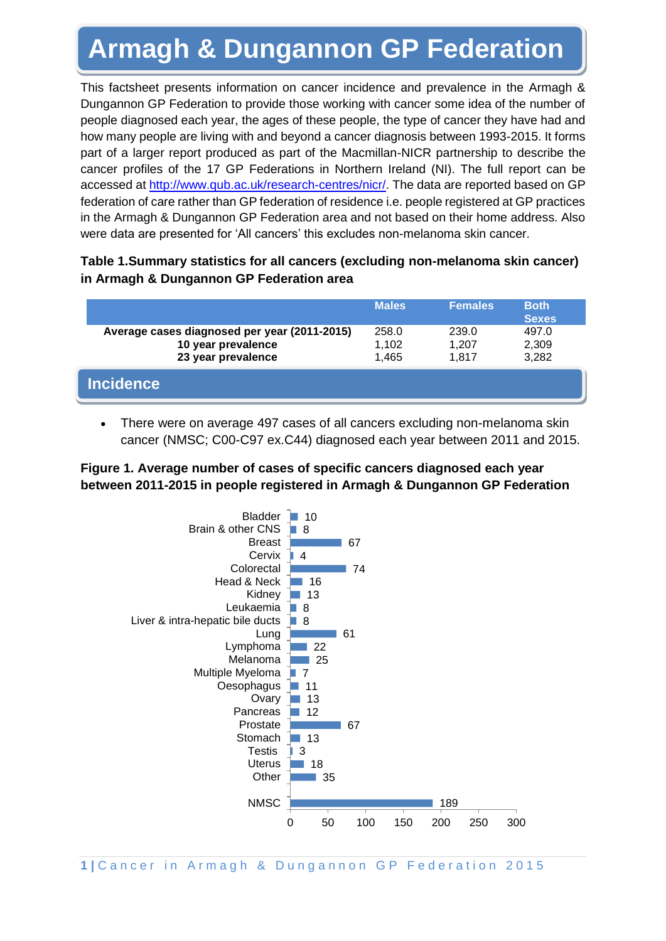# **Armagh & Dungannon GP Federation**

This factsheet presents information on cancer incidence and prevalence in the Armagh & Dungannon GP Federation to provide those working with cancer some idea of the number of people diagnosed each year, the ages of these people, the type of cancer they have had and how many people are living with and beyond a cancer diagnosis between 1993-2015. It forms part of a larger report produced as part of the Macmillan-NICR partnership to describe the cancer profiles of the 17 GP Federations in Northern Ireland (NI). The full report can be accessed at [http://www.qub.ac.uk/research-centres/nicr/.](http://www.qub.ac.uk/research-centres/nicr/) The data are reported based on GP federation of care rather than GP federation of residence i.e. people registered at GP practices in the Armagh & Dungannon GP Federation area and not based on their home address. Also were data are presented for 'All cancers' this excludes non-melanoma skin cancer.

### **Table 1.Summary statistics for all cancers (excluding non-melanoma skin cancer) in Armagh & Dungannon GP Federation area**

|                                                                                          | <b>Males</b>            | <b>Females</b>          | <b>Both</b><br><b>Sexes</b> |
|------------------------------------------------------------------------------------------|-------------------------|-------------------------|-----------------------------|
| Average cases diagnosed per year (2011-2015)<br>10 year prevalence<br>23 year prevalence | 258.0<br>1,102<br>1,465 | 239.0<br>1.207<br>1.817 | 497.0<br>2,309<br>3,282     |
| <b>Incidence</b>                                                                         |                         |                         |                             |

• There were on average 497 cases of all cancers excluding non-melanoma skin cancer (NMSC; C00-C97 ex.C44) diagnosed each year between 2011 and 2015.

#### **Figure 1. Average number of cases of specific cancers diagnosed each year between 2011-2015 in people registered in Armagh & Dungannon GP Federation**

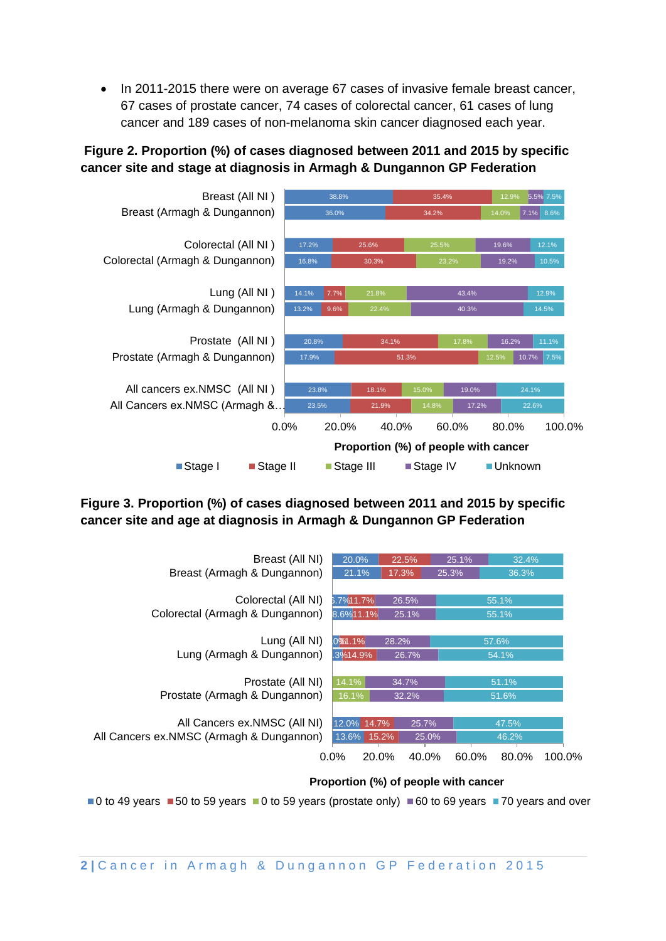• In 2011-2015 there were on average 67 cases of invasive female breast cancer, 67 cases of prostate cancer, 74 cases of colorectal cancer, 61 cases of lung cancer and 189 cases of non-melanoma skin cancer diagnosed each year.

### **Figure 2. Proportion (%) of cases diagnosed between 2011 and 2015 by specific cancer site and stage at diagnosis in Armagh & Dungannon GP Federation**



#### **Figure 3. Proportion (%) of cases diagnosed between 2011 and 2015 by specific cancer site and age at diagnosis in Armagh & Dungannon GP Federation**



#### **Proportion (%) of people with cancer**

 $\blacksquare$  0 to 49 years  $\blacksquare$  50 to 59 years  $\blacksquare$  0 to 59 years (prostate only)  $\blacksquare$  60 to 69 years  $\blacksquare$  70 years and over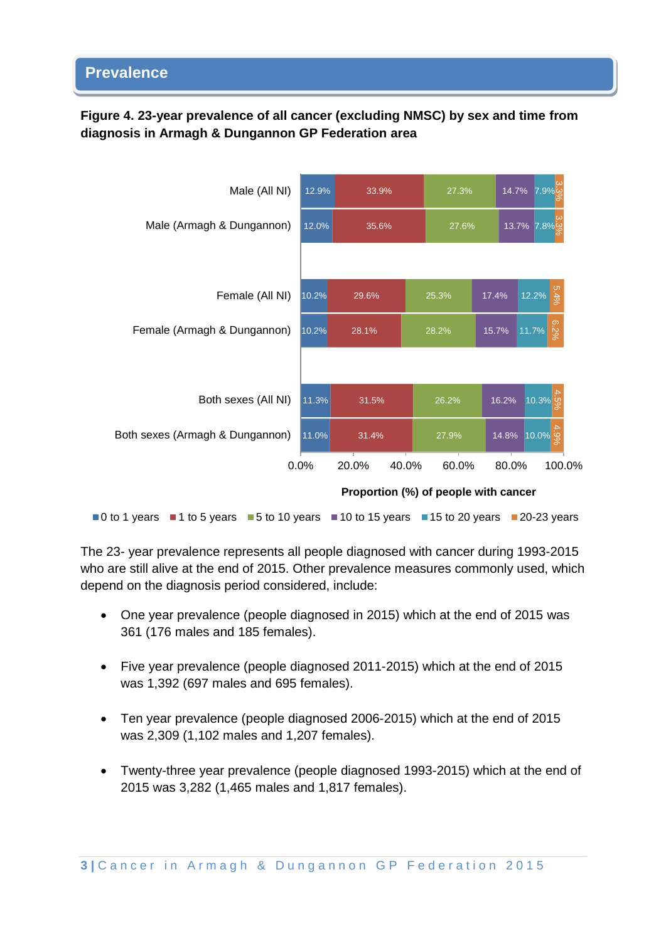### **Figure 4. 23-year prevalence of all cancer (excluding NMSC) by sex and time from diagnosis in Armagh & Dungannon GP Federation area**



The 23- year prevalence represents all people diagnosed with cancer during 1993-2015 who are still alive at the end of 2015. Other prevalence measures commonly used, which depend on the diagnosis period considered, include:

- One year prevalence (people diagnosed in 2015) which at the end of 2015 was 361 (176 males and 185 females).
- Five year prevalence (people diagnosed 2011-2015) which at the end of 2015 was 1,392 (697 males and 695 females).
- Ten year prevalence (people diagnosed 2006-2015) which at the end of 2015 was 2,309 (1,102 males and 1,207 females).
- Twenty-three year prevalence (people diagnosed 1993-2015) which at the end of 2015 was 3,282 (1,465 males and 1,817 females).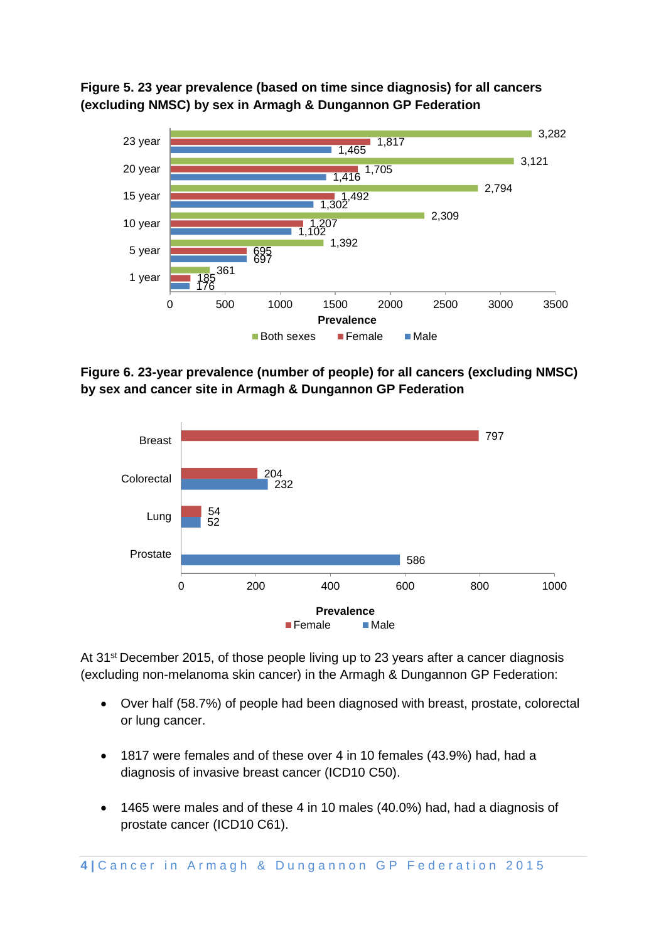**Figure 5. 23 year prevalence (based on time since diagnosis) for all cancers (excluding NMSC) by sex in Armagh & Dungannon GP Federation**



**Figure 6. 23-year prevalence (number of people) for all cancers (excluding NMSC) by sex and cancer site in Armagh & Dungannon GP Federation**



At 31<sup>st</sup> December 2015, of those people living up to 23 years after a cancer diagnosis (excluding non-melanoma skin cancer) in the Armagh & Dungannon GP Federation:

- Over half (58.7%) of people had been diagnosed with breast, prostate, colorectal or lung cancer.
- 1817 were females and of these over 4 in 10 females (43.9%) had, had a diagnosis of invasive breast cancer (ICD10 C50).
- 1465 were males and of these 4 in 10 males (40.0%) had, had a diagnosis of prostate cancer (ICD10 C61).

4 | Cancer in Armagh & Dungannon GP Federation 2015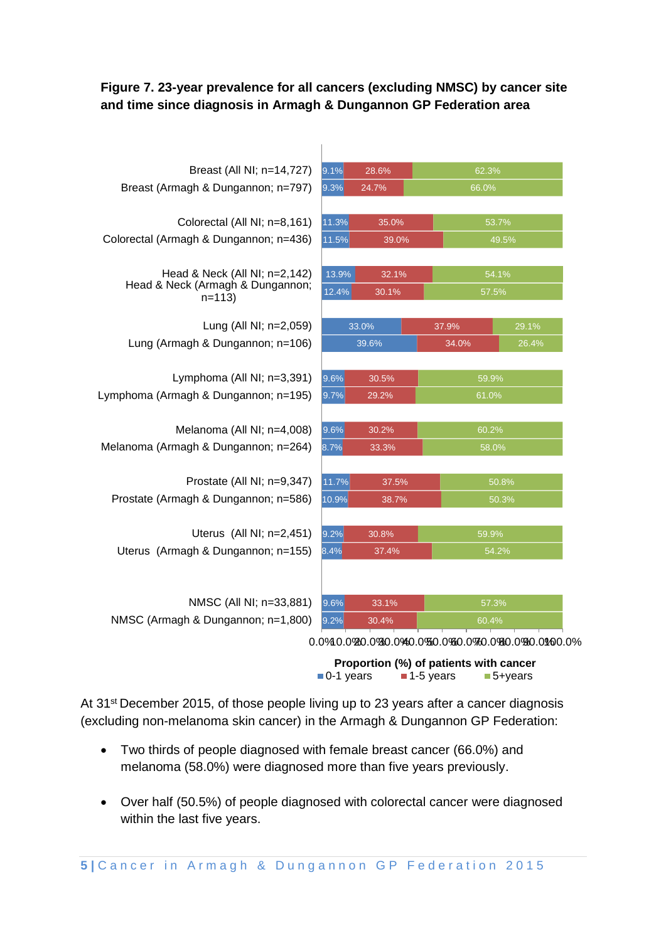#### **Figure 7. 23-year prevalence for all cancers (excluding NMSC) by cancer site and time since diagnosis in Armagh & Dungannon GP Federation area**

| Breast (All NI; n=14,727)                                                    | 9.1%                   | 28.6% | 62.3%                                  |       |  |
|------------------------------------------------------------------------------|------------------------|-------|----------------------------------------|-------|--|
| Breast (Armagh & Dungannon; n=797)                                           | 9.3%                   | 24.7% | 66.0%                                  |       |  |
|                                                                              |                        |       |                                        |       |  |
| Colorectal (All NI; n=8,161)                                                 | 11.3%                  | 35.0% | 53.7%                                  |       |  |
| Colorectal (Armagh & Dungannon; n=436)                                       | 11.5%                  | 39.0% | 49.5%                                  |       |  |
| Head & Neck (All NI; n=2,142)<br>Head & Neck (Armagh & Dungannon;<br>$n=113$ | 13.9%                  | 32.1% | 54.1%                                  |       |  |
|                                                                              | 12.4%                  | 30.1% | 57.5%                                  |       |  |
|                                                                              |                        |       |                                        |       |  |
| Lung (All NI; n=2,059)                                                       | 33.0%                  |       | 37.9%                                  | 29.1% |  |
| Lung (Armagh & Dungannon; n=106)                                             |                        | 39.6% | 34.0%                                  | 26.4% |  |
| Lymphoma (All NI; n=3,391)                                                   | 9.6%                   | 30.5% | 59.9%                                  |       |  |
| Lymphoma (Armagh & Dungannon; n=195)                                         | 9.7%<br>29.2%<br>61.0% |       |                                        |       |  |
|                                                                              |                        |       |                                        |       |  |
| Melanoma (All NI; n=4,008)                                                   | 9.6%                   | 30.2% | 60.2%                                  |       |  |
| Melanoma (Armagh & Dungannon; n=264)                                         | 8.7%                   | 33.3% | 58.0%                                  |       |  |
| Prostate (All NI; n=9,347)                                                   | 11.7%                  | 37.5% | 50.8%                                  |       |  |
| Prostate (Armagh & Dungannon; n=586)                                         | 10.9%                  | 38.7% | 50.3%                                  |       |  |
|                                                                              |                        |       |                                        |       |  |
| Uterus (All NI; n=2,451)                                                     | 9.2%                   | 30.8% | 59.9%                                  |       |  |
| Uterus (Armagh & Dungannon; n=155)                                           | 8.4%                   | 37.4% | 54.2%                                  |       |  |
|                                                                              |                        |       |                                        |       |  |
| NMSC (All NI; n=33,881)                                                      | 9.6%                   | 33.1% | 57.3%                                  |       |  |
| NMSC (Armagh & Dungannon; n=1,800)                                           | 9.2%                   | 30.4% | 60.4%                                  |       |  |
|                                                                              |                        |       |                                        |       |  |
|                                                                              |                        |       | Proportion (%) of patients with cancer |       |  |

At 31<sup>st</sup> December 2015, of those people living up to 23 years after a cancer diagnosis (excluding non-melanoma skin cancer) in the Armagh & Dungannon GP Federation:

■ 0-1 years ■ 1-5 years ■ 5+years

- Two thirds of people diagnosed with female breast cancer (66.0%) and melanoma (58.0%) were diagnosed more than five years previously.
- Over half (50.5%) of people diagnosed with colorectal cancer were diagnosed within the last five years.

**5** | Cancer in Armagh & Dungannon GP Federation 2015